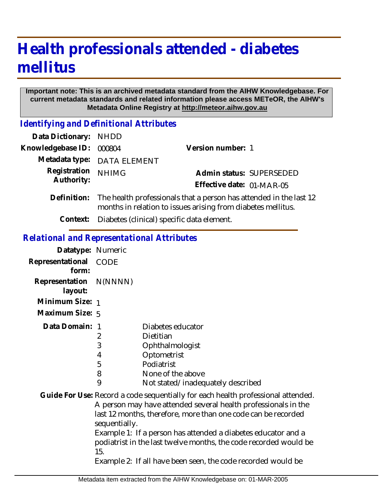# **Health professionals attended - diabetes mellitus**

#### **Important note: This is an archived metadata standard from the AIHW Knowledgebase. For current metadata standards and related information please access METeOR, the AIHW's Metadata Online Registry at http://meteor.aihw.gov.au**

*Identifying and Definitional Attributes*

| Data Dictionary: NHDD |                                                                                                                                    |                           |
|-----------------------|------------------------------------------------------------------------------------------------------------------------------------|---------------------------|
| Knowledgebase ID:     | 000804                                                                                                                             | Version number: 1         |
|                       | Metadata type: DATA ELEMENT                                                                                                        |                           |
| Registration          | <b>NHIMG</b>                                                                                                                       | Admin status: SUPERSEDED  |
| Authority:            |                                                                                                                                    | Effective date: 01-MAR-05 |
| Definition:           | The health professionals that a person has attended in the last 12<br>months in relation to issues arising from diabetes mellitus. |                           |

**Context:** Diabetes (clinical) specific data element.

### *Relational and Representational Attributes*

| Datatype: Numeric                 |                            |                                                                                                                                                                                                                                                                                                                                                                                                                          |
|-----------------------------------|----------------------------|--------------------------------------------------------------------------------------------------------------------------------------------------------------------------------------------------------------------------------------------------------------------------------------------------------------------------------------------------------------------------------------------------------------------------|
| Representational CODE<br>form:    |                            |                                                                                                                                                                                                                                                                                                                                                                                                                          |
| Representation N(NNNN)<br>layout: |                            |                                                                                                                                                                                                                                                                                                                                                                                                                          |
| Minimum Size: 1                   |                            |                                                                                                                                                                                                                                                                                                                                                                                                                          |
| Maximum Size: 5                   |                            |                                                                                                                                                                                                                                                                                                                                                                                                                          |
| Data Domain: 1                    | 2<br>3<br>4<br>5<br>8<br>9 | Diabetes educator<br>Dietitian<br>Ophthalmologist<br>Optometrist<br>Podiatrist<br>None of the above<br>Not stated/inadequately described                                                                                                                                                                                                                                                                                 |
|                                   | sequentially.<br>15.       | Guide For Use: Record a code sequentially for each health professional attended.<br>A person may have attended several health professionals in the<br>last 12 months, therefore, more than one code can be recorded<br>Example 1: If a person has attended a diabetes educator and a<br>podiatrist in the last twelve months, the code recorded would be<br>Example 2: If all have been seen, the code recorded would be |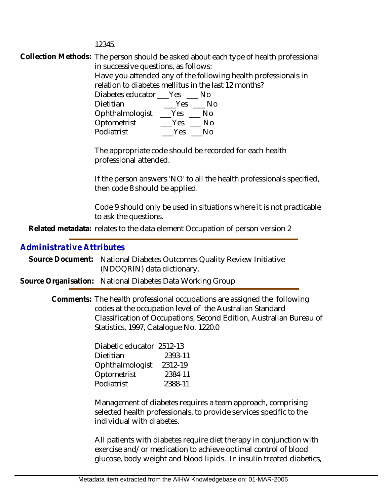12345.

Collection Methods: The person should be asked about each type of health professional in successive questions, as follows: Have you attended any of the following health professionals in relation to diabetes mellitus in the last 12 months? Diabetes educator \_\_\_Yes \_\_\_ No Dietitian \_\_\_\_\_\_Yes \_\_\_\_ No Ophthalmologist \_\_\_Yes \_\_\_ No Optometrist \_\_\_\_Yes \_\_\_ No Podiatrist \_\_\_Yes \_\_\_No

> The appropriate code should be recorded for each health professional attended.

If the person answers 'NO' to all the health professionals specified, then code 8 should be applied.

Code 9 should only be used in situations where it is not practicable to ask the questions.

Related metadata: relates to the data element Occupation of person version 2

## *Administrative Attributes*

- Source Document: National Diabetes Outcomes Quality Review Initiative (NDOQRIN) data dictionary.
- **Source Organisation:** National Diabetes Data Working Group

Comments: The health professional occupations are assigned the following codes at the occupation level of the Australian Standard Classification of Occupations, Second Edition, Australian Bureau of Statistics, 1997, Catalogue No. 1220.0

| Diabetic educator 2512-13 |         |
|---------------------------|---------|
| Dietitian                 | 2393-11 |
| Ophthalmologist           | 2312-19 |
| Optometrist               | 2384-11 |
| Podiatrist                | 2388-11 |

Management of diabetes requires a team approach, comprising selected health professionals, to provide services specific to the individual with diabetes.

All patients with diabetes require diet therapy in conjunction with exercise and/or medication to achieve optimal control of blood glucose, body weight and blood lipids. In insulin treated diabetics,